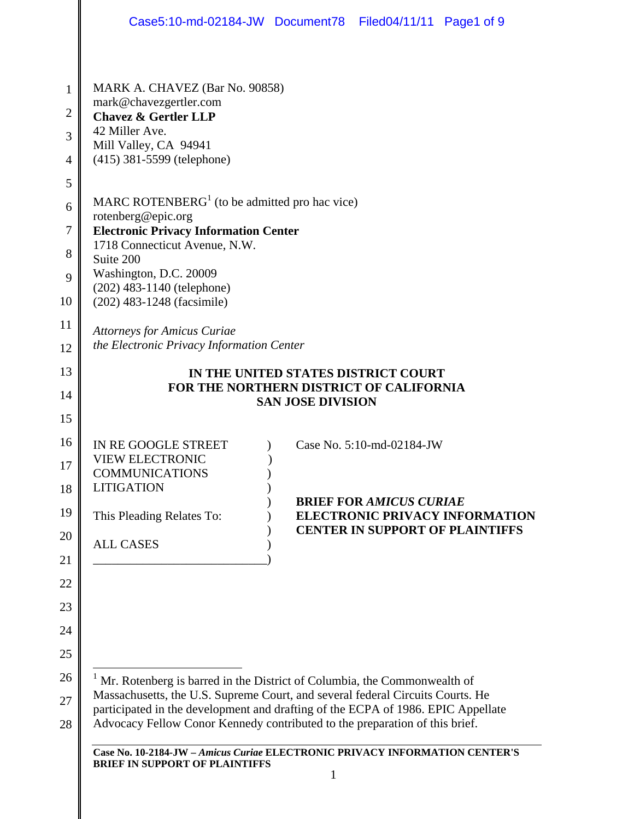|                                            | Case5:10-md-02184-JW Document78 Filed04/11/11 Page1 of 9                                                                                                                                                                                                                                                                                                                                                                  |
|--------------------------------------------|---------------------------------------------------------------------------------------------------------------------------------------------------------------------------------------------------------------------------------------------------------------------------------------------------------------------------------------------------------------------------------------------------------------------------|
| 1<br>$\overline{c}$<br>3<br>$\overline{4}$ | MARK A. CHAVEZ (Bar No. 90858)<br>mark@chavezgertler.com<br><b>Chavez &amp; Gertler LLP</b><br>42 Miller Ave.<br>Mill Valley, CA 94941<br>(415) 381-5599 (telephone)                                                                                                                                                                                                                                                      |
| 5<br>6<br>7<br>8<br>9<br>10                | MARC ROTENBERG <sup>1</sup> (to be admitted pro hac vice)<br>rotenberg@epic.org<br><b>Electronic Privacy Information Center</b><br>1718 Connecticut Avenue, N.W.<br>Suite 200<br>Washington, D.C. 20009<br>$(202)$ 483-1140 (telephone)                                                                                                                                                                                   |
| 11<br>12                                   | (202) 483-1248 (facsimile)<br><b>Attorneys for Amicus Curiae</b><br>the Electronic Privacy Information Center                                                                                                                                                                                                                                                                                                             |
| 13<br>14<br>15                             | IN THE UNITED STATES DISTRICT COURT<br>FOR THE NORTHERN DISTRICT OF CALIFORNIA<br><b>SAN JOSE DIVISION</b>                                                                                                                                                                                                                                                                                                                |
| 16<br>17<br>18<br>19<br>20<br>21           | IN RE GOOGLE STREET<br>Case No. 5:10-md-02184-JW<br><b>VIEW ELECTRONIC</b><br><b>COMMUNICATIONS</b><br><b>LITIGATION</b><br><b>BRIEF FOR AMICUS CURIAE</b><br>This Pleading Relates To:<br><b>ELECTRONIC PRIVACY INFORMATION</b><br><b>CENTER IN SUPPORT OF PLAINTIFFS</b><br><b>ALL CASES</b>                                                                                                                            |
| 22<br>23<br>24<br>25                       |                                                                                                                                                                                                                                                                                                                                                                                                                           |
| 26<br>27<br>28                             | <sup>1</sup> Mr. Rotenberg is barred in the District of Columbia, the Commonwealth of<br>Massachusetts, the U.S. Supreme Court, and several federal Circuits Courts. He<br>participated in the development and drafting of the ECPA of 1986. EPIC Appellate<br>Advocacy Fellow Conor Kennedy contributed to the preparation of this brief.<br>Case No. 10-2184-JW - Amicus Curiae ELECTRONIC PRIVACY INFORMATION CENTER'S |
|                                            | <b>BRIEF IN SUPPORT OF PLAINTIFFS</b>                                                                                                                                                                                                                                                                                                                                                                                     |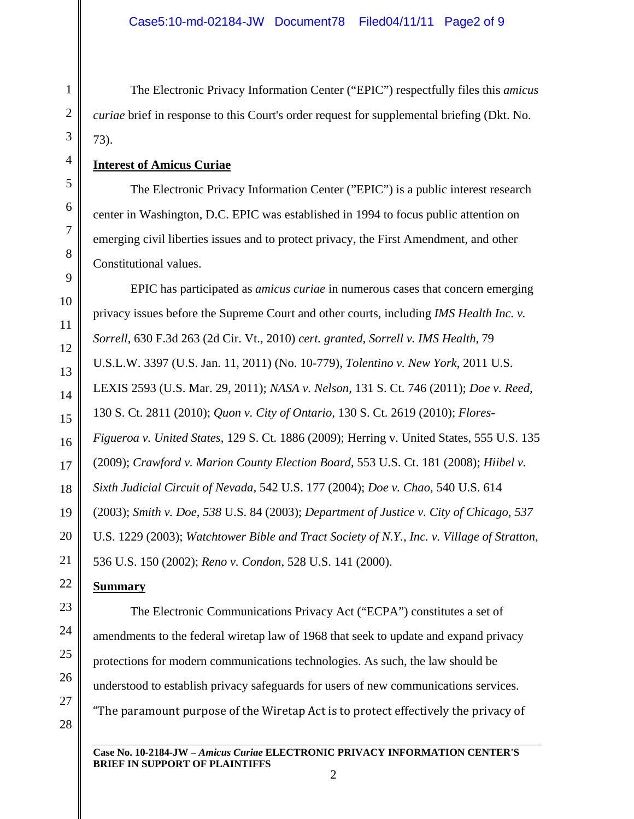The Electronic Privacy Information Center ("EPIC") respectfully files this *amicus curiae* brief in response to this Court's order request for supplemental briefing (Dkt. No. 73).

### **Interest of Amicus Curiae**

The Electronic Privacy Information Center ("EPIC") is a public interest research center in Washington, D.C. EPIC was established in 1994 to focus public attention on emerging civil liberties issues and to protect privacy, the First Amendment, and other Constitutional values.

EPIC has participated as *amicus curiae* in numerous cases that concern emerging privacy issues before the Supreme Court and other courts, including *IMS Health Inc. v. Sorrell*, 630 F.3d 263 (2d Cir. Vt., 2010) *cert. granted, Sorrell v. IMS Health,* 79 U.S.L.W. 3397 (U.S. Jan. 11, 2011) (No. 10-779), *Tolentino v. New York*, 2011 U.S. LEXIS 2593 (U.S. Mar. 29, 2011); *NASA v. Nelson,* 131 S. Ct. 746 (2011); *Doe v. Reed,* 130 S. Ct. 2811 (2010); *Quon v. City of Ontario,* 130 S. Ct. 2619 (2010); *Flores-Figueroa v. United States*, 129 S. Ct. 1886 (2009); Herring v. United States, 555 U.S. 135 (2009); *Crawford v. Marion County Election Board,* 553 U.S. Ct. 181 (2008); *Hiibel v. Sixth Judicial Circuit of Nevada,* 542 U.S. 177 (2004); *Doe v. Chao,* 540 U.S. 614 (2003); *Smith v. Doe, 538* U.S. 84 (2003); *Department of Justice v. City of Chicago, 537*  U.S. 1229 (2003); *Watchtower Bible and Tract Society of N.Y., Inc. v. Village of Stratton,*  536 U.S. 150 (2002); *Reno v. Condon*, 528 U.S. 141 (2000).

#### **Summary**

The Electronic Communications Privacy Act ("ECPA") constitutes a set of amendments to the federal wiretap law of 1968 that seek to update and expand privacy protections for modern communications technologies. As such, the law should be understood to establish privacy safeguards for users of new communications services. "The paramount purpose of the Wiretap Act is to protect effectively the privacy of

28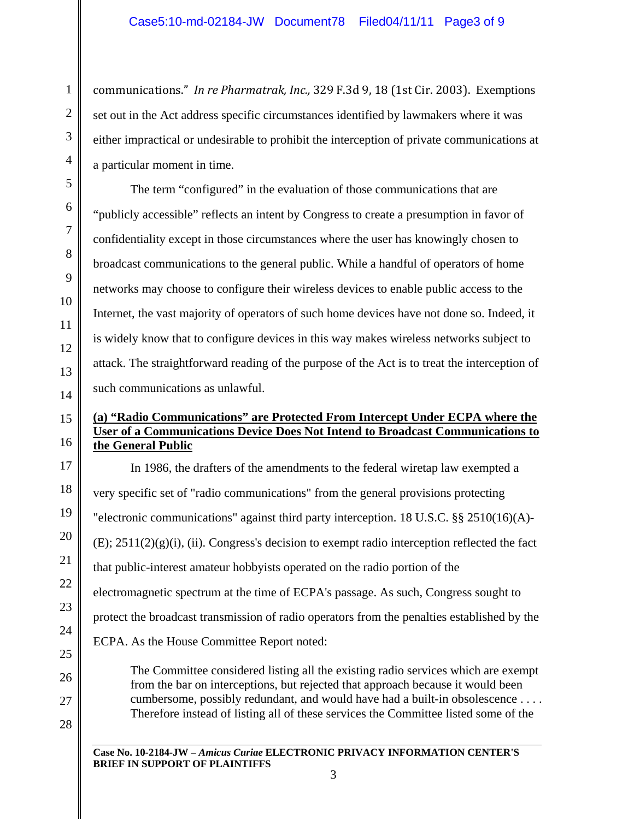communications." *In re Pharmatrak, Inc.,* 329 F.3d 9, 18 (1st Cir. 2003). Exemptions set out in the Act address specific circumstances identified by lawmakers where it was either impractical or undesirable to prohibit the interception of private communications at a particular moment in time.

The term "configured" in the evaluation of those communications that are "publicly accessible" reflects an intent by Congress to create a presumption in favor of confidentiality except in those circumstances where the user has knowingly chosen to broadcast communications to the general public. While a handful of operators of home networks may choose to configure their wireless devices to enable public access to the Internet, the vast majority of operators of such home devices have not done so. Indeed, it is widely know that to configure devices in this way makes wireless networks subject to attack. The straightforward reading of the purpose of the Act is to treat the interception of such communications as unlawful.

# **(a) "Radio Communications" are Protected From Intercept Under ECPA where the User of a Communications Device Does Not Intend to Broadcast Communications to the General Public**

In 1986, the drafters of the amendments to the federal wiretap law exempted a very specific set of "radio communications" from the general provisions protecting "electronic communications" against third party interception. 18 U.S.C. §§ 2510(16)(A)-  $(E)$ ;  $2511(2)(g)(i)$ , (ii). Congress's decision to exempt radio interception reflected the fact that public-interest amateur hobbyists operated on the radio portion of the electromagnetic spectrum at the time of ECPA's passage. As such, Congress sought to protect the broadcast transmission of radio operators from the penalties established by the ECPA. As the House Committee Report noted:

The Committee considered listing all the existing radio services which are exempt from the bar on interceptions, but rejected that approach because it would been cumbersome, possibly redundant, and would have had a built-in obsolescence . . . . Therefore instead of listing all of these services the Committee listed some of the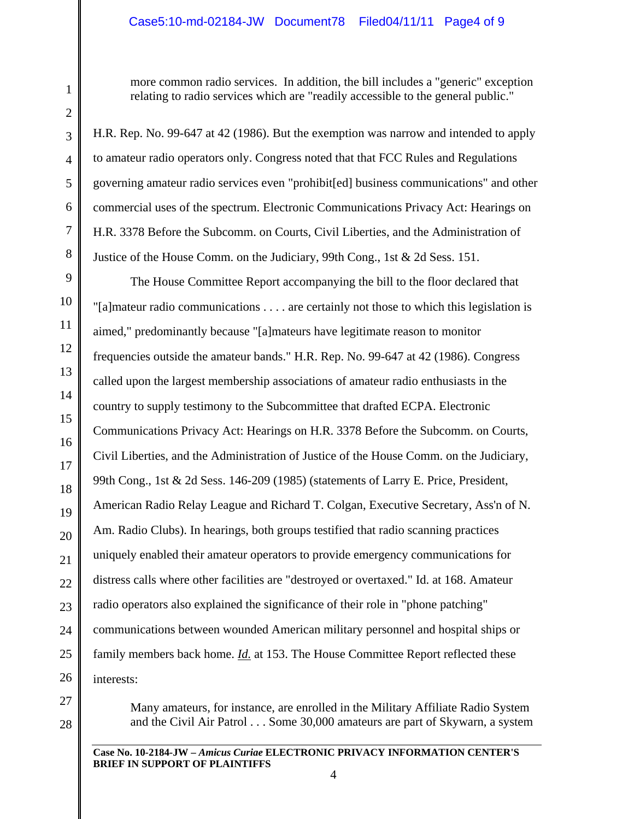# Case5:10-md-02184-JW Document78 Filed04/11/11 Page4 of 9

more common radio services. In addition, the bill includes a "generic" exception relating to radio services which are "readily accessible to the general public."

H.R. Rep. No. 99-647 at 42 (1986). But the exemption was narrow and intended to apply to amateur radio operators only. Congress noted that that FCC Rules and Regulations governing amateur radio services even "prohibit[ed] business communications" and other commercial uses of the spectrum. Electronic Communications Privacy Act: Hearings on H.R. 3378 Before the Subcomm. on Courts, Civil Liberties, and the Administration of Justice of the House Comm. on the Judiciary, 99th Cong., 1st & 2d Sess. 151.

The House Committee Report accompanying the bill to the floor declared that "[a]mateur radio communications . . . . are certainly not those to which this legislation is aimed," predominantly because "[a]mateurs have legitimate reason to monitor frequencies outside the amateur bands." H.R. Rep. No. 99-647 at 42 (1986). Congress called upon the largest membership associations of amateur radio enthusiasts in the country to supply testimony to the Subcommittee that drafted ECPA. Electronic Communications Privacy Act: Hearings on H.R. 3378 Before the Subcomm. on Courts, Civil Liberties, and the Administration of Justice of the House Comm. on the Judiciary, 99th Cong., 1st & 2d Sess. 146-209 (1985) (statements of Larry E. Price, President, American Radio Relay League and Richard T. Colgan, Executive Secretary, Ass'n of N. Am. Radio Clubs). In hearings, both groups testified that radio scanning practices uniquely enabled their amateur operators to provide emergency communications for distress calls where other facilities are "destroyed or overtaxed." Id. at 168. Amateur radio operators also explained the significance of their role in "phone patching" communications between wounded American military personnel and hospital ships or family members back home. *Id.* at 153. The House Committee Report reflected these interests:

Many amateurs, for instance, are enrolled in the Military Affiliate Radio System and the Civil Air Patrol . . . Some 30,000 amateurs are part of Skywarn, a system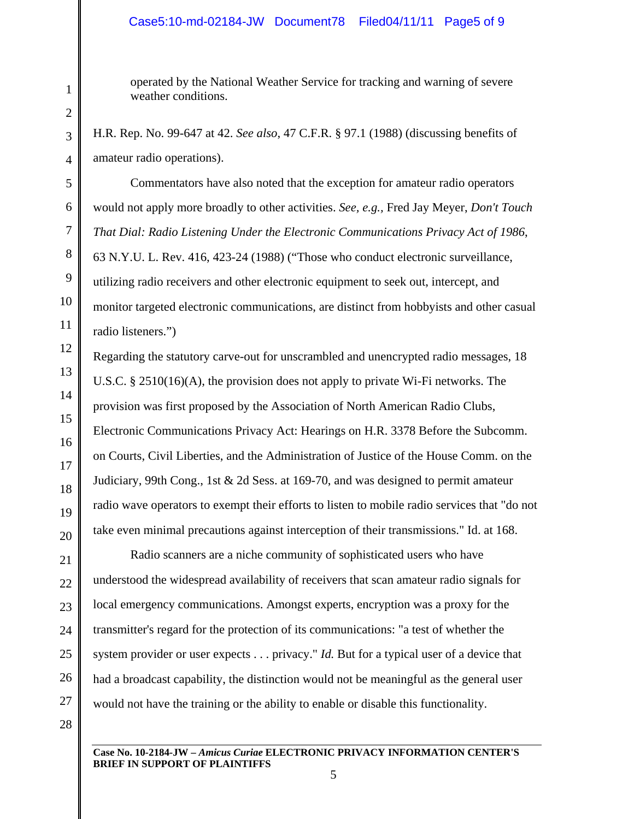### Case5:10-md-02184-JW Document78 Filed04/11/11 Page5 of 9

operated by the National Weather Service for tracking and warning of severe weather conditions.

H.R. Rep. No. 99-647 at 42. *See also*, 47 C.F.R. § 97.1 (1988) (discussing benefits of amateur radio operations).

 Commentators have also noted that the exception for amateur radio operators would not apply more broadly to other activities. *See, e.g.,* Fred Jay Meyer, *Don't Touch That Dial: Radio Listening Under the Electronic Communications Privacy Act of 1986*, 63 N.Y.U. L. Rev. 416, 423-24 (1988) ("Those who conduct electronic surveillance, utilizing radio receivers and other electronic equipment to seek out, intercept, and monitor targeted electronic communications, are distinct from hobbyists and other casual radio listeners.")

Regarding the statutory carve-out for unscrambled and unencrypted radio messages, 18 U.S.C. § 2510(16)(A), the provision does not apply to private Wi-Fi networks. The provision was first proposed by the Association of North American Radio Clubs, Electronic Communications Privacy Act: Hearings on H.R. 3378 Before the Subcomm. on Courts, Civil Liberties, and the Administration of Justice of the House Comm. on the Judiciary, 99th Cong., 1st & 2d Sess. at 169-70, and was designed to permit amateur radio wave operators to exempt their efforts to listen to mobile radio services that "do not take even minimal precautions against interception of their transmissions." Id. at 168.

Radio scanners are a niche community of sophisticated users who have understood the widespread availability of receivers that scan amateur radio signals for local emergency communications. Amongst experts, encryption was a proxy for the transmitter's regard for the protection of its communications: "a test of whether the system provider or user expects . . . privacy." *Id.* But for a typical user of a device that had a broadcast capability, the distinction would not be meaningful as the general user would not have the training or the ability to enable or disable this functionality.

**Case No. 10-2184-JW –** *Amicus Curiae* **ELECTRONIC PRIVACY INFORMATION CENTER'S BRIEF IN SUPPORT OF PLAINTIFFS**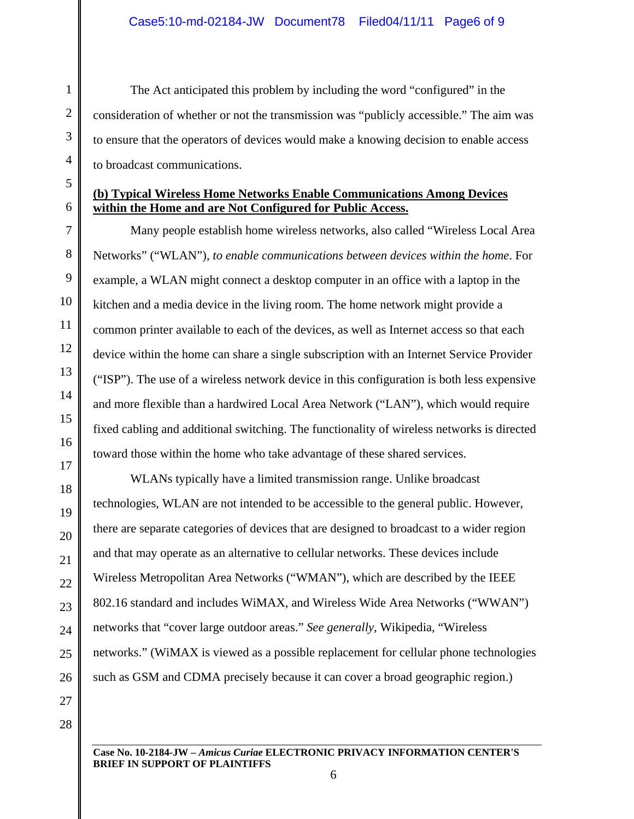The Act anticipated this problem by including the word "configured" in the consideration of whether or not the transmission was "publicly accessible." The aim was to ensure that the operators of devices would make a knowing decision to enable access to broadcast communications.

# **(b) Typical Wireless Home Networks Enable Communications Among Devices within the Home and are Not Configured for Public Access.**

Many people establish home wireless networks, also called "Wireless Local Area Networks" ("WLAN"), *to enable communications between devices within the home*. For example, a WLAN might connect a desktop computer in an office with a laptop in the kitchen and a media device in the living room. The home network might provide a common printer available to each of the devices, as well as Internet access so that each device within the home can share a single subscription with an Internet Service Provider ("ISP"). The use of a wireless network device in this configuration is both less expensive and more flexible than a hardwired Local Area Network ("LAN"), which would require fixed cabling and additional switching. The functionality of wireless networks is directed toward those within the home who take advantage of these shared services.

WLANs typically have a limited transmission range. Unlike broadcast technologies, WLAN are not intended to be accessible to the general public. However, there are separate categories of devices that are designed to broadcast to a wider region and that may operate as an alternative to cellular networks. These devices include Wireless Metropolitan Area Networks ("WMAN"), which are described by the IEEE 802.16 standard and includes WiMAX, and Wireless Wide Area Networks ("WWAN") networks that "cover large outdoor areas." *See generally*, Wikipedia, "Wireless networks." (WiMAX is viewed as a possible replacement for cellular phone technologies such as GSM and CDMA precisely because it can cover a broad geographic region.)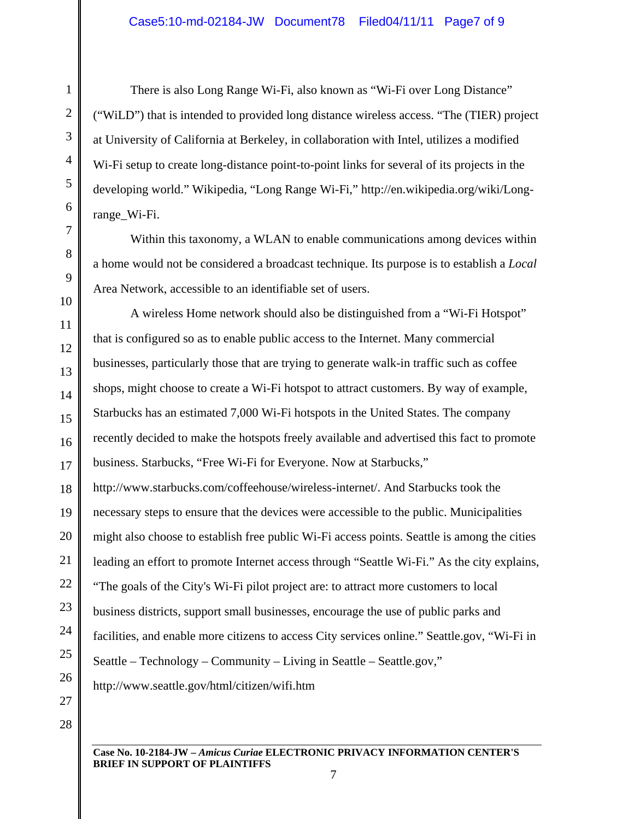There is also Long Range Wi-Fi, also known as "Wi-Fi over Long Distance" ("WiLD") that is intended to provided long distance wireless access. "The (TIER) project at University of California at Berkeley, in collaboration with Intel, utilizes a modified Wi-Fi setup to create long-distance point-to-point links for several of its projects in the developing world." Wikipedia, "Long Range Wi-Fi," http://en.wikipedia.org/wiki/Longrange\_Wi-Fi.

Within this taxonomy, a WLAN to enable communications among devices within a home would not be considered a broadcast technique. Its purpose is to establish a *Local*  Area Network, accessible to an identifiable set of users.

A wireless Home network should also be distinguished from a "Wi-Fi Hotspot" that is configured so as to enable public access to the Internet. Many commercial businesses, particularly those that are trying to generate walk-in traffic such as coffee shops, might choose to create a Wi-Fi hotspot to attract customers. By way of example, Starbucks has an estimated 7,000 Wi-Fi hotspots in the United States. The company recently decided to make the hotspots freely available and advertised this fact to promote business. Starbucks, "Free Wi-Fi for Everyone. Now at Starbucks,"

http://www.starbucks.com/coffeehouse/wireless-internet/. And Starbucks took the necessary steps to ensure that the devices were accessible to the public. Municipalities might also choose to establish free public Wi-Fi access points. Seattle is among the cities leading an effort to promote Internet access through "Seattle Wi-Fi." As the city explains, "The goals of the City's Wi-Fi pilot project are: to attract more customers to local business districts, support small businesses, encourage the use of public parks and facilities, and enable more citizens to access City services online." Seattle.gov, "Wi-Fi in Seattle – Technology – Community – Living in Seattle – Seattle.gov," http://www.seattle.gov/html/citizen/wifi.htm

**Case No. 10-2184-JW –** *Amicus Curiae* **ELECTRONIC PRIVACY INFORMATION CENTER'S BRIEF IN SUPPORT OF PLAINTIFFS**  7

1

2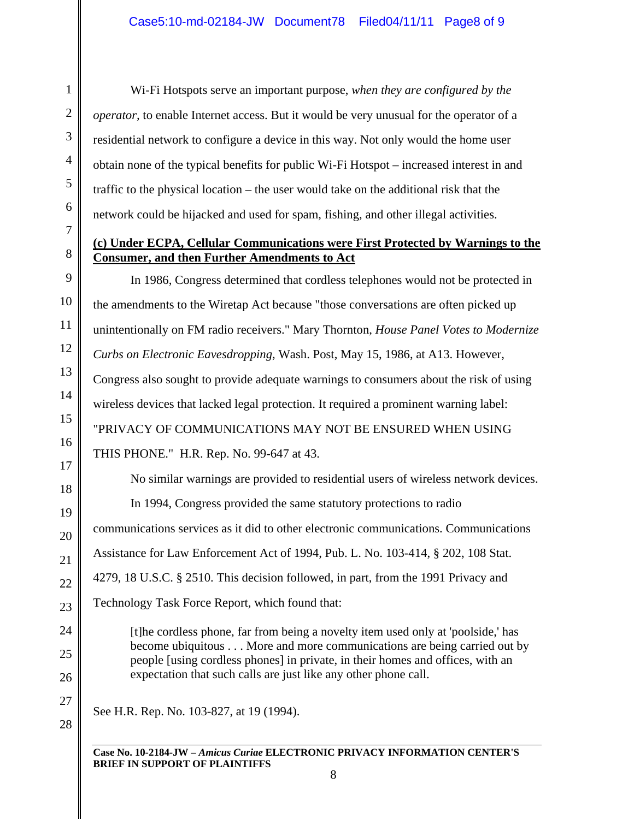Wi-Fi Hotspots serve an important purpose, *when they are configured by the operator,* to enable Internet access. But it would be very unusual for the operator of a residential network to configure a device in this way. Not only would the home user obtain none of the typical benefits for public Wi-Fi Hotspot – increased interest in and traffic to the physical location – the user would take on the additional risk that the network could be hijacked and used for spam, fishing, and other illegal activities.

# **(c) Under ECPA, Cellular Communications were First Protected by Warnings to the Consumer, and then Further Amendments to Act**

In 1986, Congress determined that cordless telephones would not be protected in the amendments to the Wiretap Act because "those conversations are often picked up unintentionally on FM radio receivers." Mary Thornton, *House Panel Votes to Modernize Curbs on Electronic Eavesdropping*, Wash. Post, May 15, 1986, at A13. However, Congress also sought to provide adequate warnings to consumers about the risk of using wireless devices that lacked legal protection. It required a prominent warning label: "PRIVACY OF COMMUNICATIONS MAY NOT BE ENSURED WHEN USING THIS PHONE." H.R. Rep. No. 99-647 at 43.

No similar warnings are provided to residential users of wireless network devices. In 1994, Congress provided the same statutory protections to radio communications services as it did to other electronic communications. Communications Assistance for Law Enforcement Act of 1994, Pub. L. No. 103-414, § 202, 108 Stat. 4279, 18 U.S.C. § 2510. This decision followed, in part, from the 1991 Privacy and Technology Task Force Report, which found that:

[t]he cordless phone, far from being a novelty item used only at 'poolside,' has become ubiquitous . . . More and more communications are being carried out by people [using cordless phones] in private, in their homes and offices, with an expectation that such calls are just like any other phone call.

See H.R. Rep. No. 103-827, at 19 (1994).

**Case No. 10-2184-JW –** *Amicus Curiae* **ELECTRONIC PRIVACY INFORMATION CENTER'S BRIEF IN SUPPORT OF PLAINTIFFS**